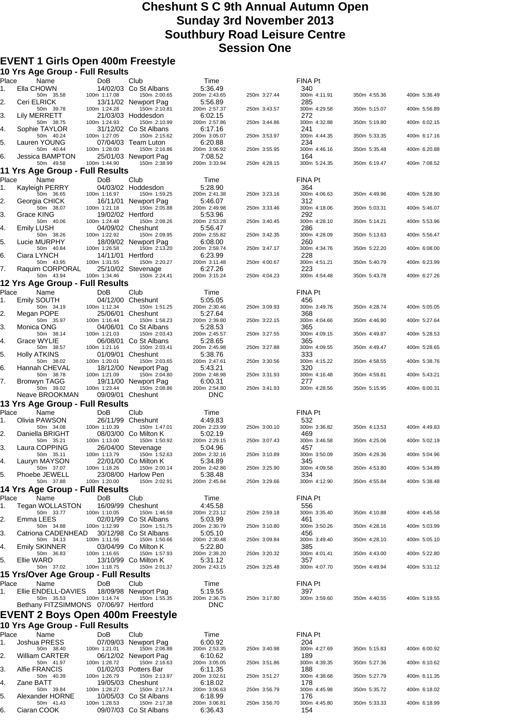## **Cheshunt S C 9th Annual Autumn Open Sunday 3rd November 2013 Southbury Road Leisure Centre Session One**

## **EVENT 1 Girls Open 400m Freestyle**

|                  |            | 10 Yrs Age Group - Full Results                                            |                                   |                                       |                         |              |                       |              |              |
|------------------|------------|----------------------------------------------------------------------------|-----------------------------------|---------------------------------------|-------------------------|--------------|-----------------------|--------------|--------------|
| Place<br>1.      |            | Name<br>Ella CHOWN                                                         | DoB                               | Club<br>14/02/03 Co St Albans         | Time<br>5:36.49         |              | FINA Pt<br>340        |              |              |
|                  |            | 50m 35.58                                                                  | 100m 1:17.08                      | 150m 2:00.65                          | 200m 2:43.65            | 250m 3:27.44 | 300m 4:11.91          | 350m 4:55.36 | 400m 5:36.49 |
| $\overline{2}$ . |            | Ceri ELRICK<br>50m 39.78                                                   | 100m 1:24.28                      | 13/11/02 Newport Pag<br>150m 2:10.81  | 5:56.89<br>200m 2:57.37 | 250m 3:43.57 | 285<br>300m 4:29.58   | 350m 5:15.07 | 400m 5:56.89 |
| 3.               |            | Lily MERRETT<br>50m 38.75                                                  | 100m 1:24.93                      | 21/03/03 Hoddesdon<br>150m 2:10.99    | 6:02.15<br>200m 2:57.86 | 250m 3:44.86 | 272<br>300m 4:32.88   | 350m 5:19.80 | 400m 6:02.15 |
| 4.               |            | Sophie TAYLOR                                                              |                                   | 31/12/02 Co St Albans                 | 6:17.16                 |              | 241                   |              |              |
| 5.               |            | 50m 40.24<br>Lauren YOUNG                                                  | 100m 1:27.05                      | 150m 2:15.62<br>07/04/03 Team Luton   | 200m 3:05.07<br>6:20.88 | 250m 3:53.97 | 300m 4:44.35<br>234   | 350m 5:33.35 | 400m 6:17.16 |
| 6.               |            | 50m 40.44<br>Jessica BAMPTON                                               | 100m 1:28.00                      | 150m 2:16.86<br>25/01/03 Newport Pag  | 200m 3:06.92<br>7:08.52 | 250m 3:55.95 | 300m 4:46.16<br>164   | 350m 5:35.48 | 400m 6:20.88 |
|                  |            | 50m 49.58                                                                  | 100m 1:44.90                      | 150m 2:38.99                          | 200m 3:33.94            | 250m 4:28.15 | 300m 5:24.35          | 350m 6:19.47 | 400m 7:08.52 |
| Place            |            | 11 Yrs Age Group - Full Results<br>Name                                    | DoB                               | Club                                  | Time                    |              | FINA Pt               |              |              |
| 1.               |            | Kayleigh PERRY                                                             |                                   | 04/03/02 Hoddesdon                    | 5:28.90                 |              | 364                   |              |              |
| 2.               |            | 50m 36.65<br>Georgia CHICK                                                 | 100m 1:16.97<br>16/11/01          | 150m 1:59.25<br>Newport Pag           | 200m 2:41.38<br>5:46.07 | 250m 3:23.16 | 300m 4:06.63<br>312   | 350m 4:49.96 | 400m 5:28.90 |
| 3.               |            | 50m 38.07<br>Grace KING                                                    | 100m 1:21.18<br>19/02/02 Hertford | 150m 2:05.88                          | 200m 2:49.98<br>5:53.96 | 250m 3:33.46 | 300m 4:18.06<br>292   | 350m 5:03.31 | 400m 5:46.07 |
| 4.               |            | 50m 40.06<br><b>Emily LUSH</b>                                             | 100m 1:24.48                      | 150m 2:08.26<br>04/09/02 Cheshunt     | 200m 2:53.28<br>5:56.47 | 250m 3:40.45 | 300m 4:28.10<br>286   | 350m 5:14.21 | 400m 5:53.96 |
|                  |            | 50m 38.26                                                                  | 100m 1:22.92                      | 150m 2:09.95                          | 200m 2:55.82            | 250m 3:42.35 | 300m 4:28.09          | 350m 5:13.63 | 400m 5:56.47 |
| 5.               |            | Lucie MURPHY<br>50m 40.84                                                  | 100m 1:26.58                      | 18/09/02 Newport Pag<br>150m 2:13.20  | 6:08.00<br>200m 2:59.74 | 250m 3:47.17 | 260<br>300m 4:34.76   | 350m 5:22.20 | 400m 6:08.00 |
| 6.               |            | Ciara LYNCH<br>50m 43.95                                                   | 14/11/01 Hertford<br>100m 1:31.55 | 150m 2:20.27                          | 6:23.99<br>200m 3:11.48 | 250m 4:00.67 | 228<br>300m 4:51.21   | 350m 5:40.79 | 400m 6:23.99 |
| 7.               |            | Raquim CORPORAL                                                            |                                   | 25/10/02 Stevenage                    | 6:27.26                 |              | 223                   |              |              |
|                  |            | 50m 43.94<br>12 Yrs Age Group - Full Results                               | 100m 1:34.46                      | 150m 2:24.41                          | 200m 3:15.24            | 250m 4:04.23 | 300m 4:54.48          | 350m 5:43.78 | 400m 6:27.26 |
| Place            |            | Name                                                                       | DoB                               | Club                                  | Time                    |              | FINA Pt               |              |              |
| 1.               |            | Emily SOUTH<br>50m 34.19                                                   | 100m 1:12.34                      | 04/12/00 Cheshunt<br>150m 1:51.25     | 5:05.05<br>200m 2:30.46 | 250m 3:09.93 | 456<br>300m 3:49.76   | 350m 4:28.74 | 400m 5:05.05 |
| 2.               |            | Megan POPE<br>50m 35.97                                                    | 100m 1:16.44                      | 25/06/01 Cheshunt<br>150m 1:58.23     | 5:27.64<br>200m 2:39.80 | 250m 3:22.15 | 368<br>300m 4:04.66   | 350m 4:46.90 | 400m 5:27.64 |
| 3.               |            | Monica ONG                                                                 |                                   | 04/06/01 Co St Albans                 | 5:28.53                 |              | 365                   |              |              |
| 4.               |            | 50m 38.14<br>Grace WYLIE                                                   | 100m 1:21.03                      | 150m 2:03.43<br>06/08/01 Co St Albans | 200m 2:45.57<br>5:28.65 | 250m 3:27.55 | 300m 4:09.15<br>365   | 350m 4:49.87 | 400m 5:28.53 |
| 5.               |            | 50m 38.57<br>Holly ATKINS                                                  | 100m 1:21.16                      | 150m 2:03.41<br>01/09/01 Cheshunt     | 200m 2:45.98<br>5:38.76 | 250m 3:27.88 | 300m 4:09.55<br>333   | 350m 4:49.47 | 400m 5:28.65 |
| 6.               |            | 50m 38.02<br>Hannah CHEVAL                                                 | 100m 1:20.01                      | 150m 2:03.65<br>18/12/00 Newport Pag  | 200m 2:47.61<br>5:43.21 | 250m 3:30.56 | 300m 4:15.22<br>320   | 350m 4:58.55 | 400m 5:38.76 |
|                  |            | 50m 38.78                                                                  | 100m 1:21.09                      | 150m 2:04.80                          | 200m 2:48.98            | 250m 3:31.93 | 300m 4:16.48          | 350m 4:59.81 | 400m 5:43.21 |
| 7.               |            | <b>Bronwyn TAGG</b><br>50m 39.02                                           | 100m 1:23.44                      | 19/11/00 Newport Pag<br>150m 2:08.86  | 6:00.31<br>200m 2:54.80 | 250m 3:41.93 | 277<br>300m 4:28.56   | 350m 5:15.95 | 400m 6:00.31 |
|                  |            | Neave BROOKMAN                                                             |                                   | 09/09/01 Cheshunt                     | <b>DNC</b>              |              |                       |              |              |
| Place            |            | 13 Yrs Age Group - Full Results<br>Name                                    | DoB                               | Club                                  | Time                    |              | <b>FINA Pt</b>        |              |              |
| 1.               |            | Olivia PAWSON                                                              | 100m 1:10.39                      | 26/11/99 Cheshunt                     | 4:49.83<br>200m 2:23.99 |              | 532                   | 350m 4:13.53 |              |
| 2.               |            | 50m 34.08<br>Daniella BRIGHT                                               |                                   | 150m 1:47.01<br>08/03/00 Co Milton K  | 5:02.19                 | 250m 3:00.10 | 300m 3:36.82<br>469   |              | 400m 4:49.83 |
| 3.               |            | 50m 35.21<br>Laura COPPING                                                 | 100m 1:13.00                      | 150m 1:50.92<br>26/04/00 Stevenage    | 200m 2:29.15<br>5:04.96 | 250m 3:07.43 | 300m 3:46.58<br>457   | 350m 4:25.06 | 400m 5:02.19 |
| 4.               |            | 50m 35.11<br>Lauryn MAYSON                                                 | 100m 1:13.79                      | 150m 1:52.63<br>22/01/00 Co Milton K  | 200m 2:32.16<br>5:34.89 | 250m 3:10.89 | 300m 3:50.09<br>345   | 350m 4:29.36 | 400m 5:04.96 |
|                  |            | 50m 37.07                                                                  | 100m 1:18.26                      | 150m 2:00.14                          | 200m 2:42.86            | 250m 3:25.90 | 300m 4:09.58          | 350m 4:53.80 | 400m 5:34.89 |
| 5.               |            | Phoebe JEWELL<br>50m 37.88                                                 | 100m 1:20.00                      | 23/08/00 Harlow Pen<br>150m 2:02.91   | 5:38.48<br>200m 2:45.84 | 250m 3:29.66 | 334<br>300m 4:12.90   | 350m 4:55.84 | 400m 5:38.48 |
|                  |            | 14 Yrs Age Group - Full Results                                            |                                   |                                       |                         |              |                       |              |              |
| Place<br>1.      |            | Name<br>Tegan WOLLASTON                                                    | DoB                               | Club<br>16/09/99 Cheshunt             | Time<br>4:45.58         |              | <b>FINA Pt</b><br>556 |              |              |
| 2.               |            | 50m 33.77<br>Emma LEES                                                     | 100m 1:10.05                      | 150m 1:46.59<br>02/01/99 Co St Albans | 200m 2:23.12<br>5:03.99 | 250m 2:59.18 | 300m 3:35.40<br>461   | 350m 4:10.88 | 400m 4:45.58 |
|                  |            | 50m 34.88                                                                  | 100m 1:12.99                      | 150m 1:51.75                          | 200m 2:30.79            | 250m 3:10.80 | 300m 3:50.26          | 350m 4:28.16 | 400m 5:03.99 |
| З.               |            | Catriona CADENHEAD<br>50m 34.13                                            | 100m 1:11.56                      | 30/12/98 Co St Albans<br>150m 1:50.66 | 5:05.10<br>200m 2:30.48 | 250m 3:09.84 | 456<br>300m 3:49.40   | 350m 4:28.10 | 400m 5:05.10 |
| 4.               |            | <b>Emily SKINNER</b><br>50m 36.83                                          | 100m 1:16.65                      | 03/04/99 Co Milton K<br>150m 1:57.93  | 5:22.80<br>200m 2:39.20 | 250m 3:20.32 | 385<br>300m 4:01.41   | 350m 4:43.00 | 400m 5:22.80 |
| 5.               | Ellie WARD | 50m 37.02                                                                  | 100m 1:18.75                      | 13/10/99 Co Milton K<br>150m 2:01.37  | 5:31.12<br>200m 2:43.15 | 250m 3:25.48 | 357<br>300m 4:07.70   | 350m 4:49.94 | 400m 5:31.12 |
|                  |            | 15 Yrs/Over Age Group - Full Results                                       |                                   |                                       |                         |              |                       |              |              |
| Place            |            | Name                                                                       | DoB                               | Club                                  | Time                    |              | FINA Pt               |              |              |
| 1.               |            | Ellie ENDELL-DAVIES<br>50m 35.53                                           | 100m 1:14.74                      | 18/09/98 Newport Pag<br>150m 1:55.35  | 5:19.55<br>200m 2:36.75 | 250m 3:17.80 | 397<br>300m 3:59.60   | 350m 4:40.55 | 400m 5:19.55 |
|                  |            | Bethany FITZSIMMONS 07/06/97 Hertford                                      |                                   |                                       | <b>DNC</b>              |              |                       |              |              |
|                  |            | <b>EVENT 2 Boys Open 400m Freestyle</b><br>10 Yrs Age Group - Full Results |                                   |                                       |                         |              |                       |              |              |
| Place            |            | Name                                                                       | DoB                               | Club                                  | Time                    |              | FINA Pt               |              |              |
| 1.               |            | Joshua PRESS<br>50m 38.40                                                  | 100m 1:21.01                      | 07/09/03 Newport Pag<br>150m 2:06.88  | 6:00.92<br>200m 2:53.35 | 250m 3:40.98 | 204<br>300m 4:27.69   | 350m 5:15.83 | 400m 6:00.92 |
| 2.               |            | William CARTER                                                             |                                   | 06/12/02 Newport Pag                  | 6:10.62                 |              | 189                   |              |              |
| 3.               |            | 50m 41.97<br>Alfie FRANCIS                                                 | 100m 1:28.72                      | 150m 2:16.63<br>01/02/03 Potters Bar  | 200m 3:05.05<br>6:11.35 | 250m 3:51.86 | 300m 4:39.35<br>188   | 350m 5:27.36 | 400m 6:10.62 |
| 4.               | Zane BATT  | 50m 40.39                                                                  | 100m 1:26.79                      | 150m 2:13.97<br>19/05/03 Cheshunt     | 200m 3:02.61<br>6:18.02 | 250m 3:51.27 | 300m 4:38.68<br>178   | 350m 5:27.79 | 400m 6:11.35 |
|                  |            | 50m 39.84                                                                  | 100m 1:28.27                      | 150m 2:17.74                          | 200m 3:06.63            | 250m 3:56.79 | 300m 4:45.98          | 350m 5:35.72 | 400m 6:18.02 |
| 5.               |            | Alexander HORNE<br>50m 41.43                                               | 100m 1:28.53                      | 10/05/03 Co St Albans<br>150m 2:17.38 | 6:18.99<br>200m 3:06.81 | 250m 3:56.70 | 176<br>300m 4:45.80   | 350m 5:33.33 | 400m 6:18.99 |
| 6.               |            | Ciaran COOK                                                                |                                   | 09/07/03 Co St Albans                 | 6:36.43                 |              | 154                   |              |              |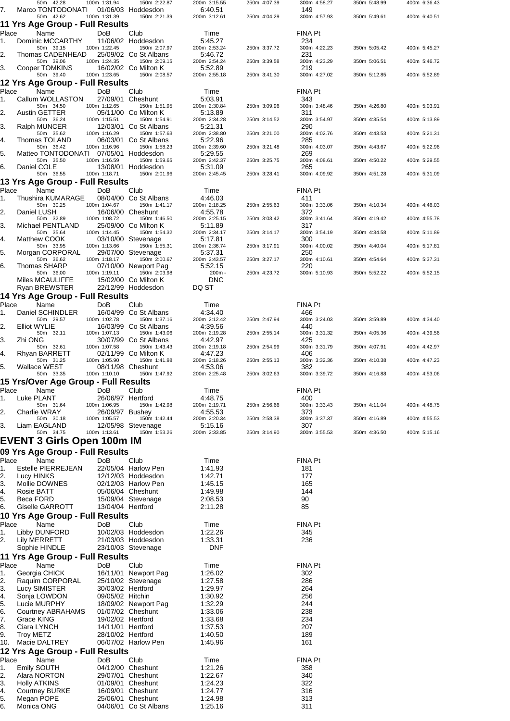|             | 50m 42.28                                          | 100m 1:31.94                    | 150m 2:22.87                               | 200m 3:15.55            | 250m 4:07.39 | 300m 4:58.27          | 350m 5:48.99 | 400m 6:36.43 |
|-------------|----------------------------------------------------|---------------------------------|--------------------------------------------|-------------------------|--------------|-----------------------|--------------|--------------|
| 7.          | Marco TONTODONATI<br>50m 42.62                     | 100m 1:31.39                    | 01/06/03 Hoddesdon<br>150m 2:21.39         | 6:40.51<br>200m 3:12.61 | 250m 4:04.29 | 149<br>300m 4:57.93   | 350m 5:49.61 | 400m 6:40.51 |
|             | 11 Yrs Age Group - Full Results                    |                                 |                                            |                         |              |                       |              |              |
| Place       | Name                                               | DoB                             | Club                                       | Time                    |              | <b>FINA Pt</b>        |              |              |
| 1.          | Dominic MCCARTHY<br>50m 39.15                      | 100m 1:22.45                    | 11/06/02 Hoddesdon<br>150m 2:07.97         | 5:45.27<br>200m 2:53.24 | 250m 3:37.72 | 234<br>300m 4:22.23   | 350m 5:05.42 | 400m 5:45.27 |
| 2.          | Thomas CADENHEAD                                   |                                 | 25/09/02 Co St Albans                      | 5:46.72                 |              | 231                   |              |              |
|             | 50m 39.06                                          | 100m 1:24.35                    | 150m 2:09.15                               | 200m 2:54.24            | 250m 3:39.58 | 300m 4:23.29          | 350m 5:06.51 | 400m 5:46.72 |
| 3.          | Cooper TOMKINS<br>50m 39.40                        | 100m 1:23.65                    | 16/02/02 Co Milton K<br>150m 2:08.57       | 5:52.89<br>200m 2:55.18 | 250m 3:41.30 | 219<br>300m 4:27.02   | 350m 5:12.85 | 400m 5:52.89 |
|             | 12 Yrs Age Group - Full Results                    |                                 |                                            |                         |              |                       |              |              |
| Place       | Name                                               | DoB                             | Club                                       | Time                    |              | FINA Pt               |              |              |
| 1.          | Callum WOLLASTON                                   |                                 | 27/09/01 Cheshunt                          | 5:03.91                 |              | 343                   |              |              |
| 2.          | 50m 34.50<br>Austin GETTER                         | 100m 1:12.65                    | 150m 1:51.95<br>05/11/00 Co Milton K       | 200m 2:30.84<br>5:13.89 | 250m 3:09.96 | 300m 3:48.46<br>311   | 350m 4:26.80 | 400m 5:03.91 |
|             | 50m 36.24                                          | 100m 1:15.51                    | 150m 1:54.91                               | 200m 2:34.28            | 250m 3:14.52 | 300m 3:54.97          | 350m 4:35.54 | 400m 5:13.89 |
| 3.          | Ralph MUNCER<br>50m 35.62                          | 100m 1:16.29                    | 12/03/01 Co St Albans<br>150m 1:57.63      | 5:21.31<br>200m 2:38.80 | 250m 3:21.00 | 290<br>300m 4:02.76   | 350m 4:43.53 | 400m 5:21.31 |
| 4.          | Thomas TOLAND                                      |                                 | 06/03/01 Co St Albans                      | 5:22.96                 |              | 285                   |              |              |
|             | 50m 36.42                                          | 100m 1:16.96                    | 150m 1:58.23                               | 200m 2:39.60            | 250m 3:21.48 | 300m 4:03.07          | 350m 4:43.67 | 400m 5:22.96 |
| 5.          | Matteo TONTODONATI 07/05/01<br>50m 35.50           | 100m 1:16.59                    | Hoddesdon<br>150m 1:59.65                  | 5:29.55<br>200m 2:42.37 | 250m 3:25.75 | 269<br>300m 4:08.61   | 350m 4:50.22 | 400m 5:29.55 |
| 6.          | Daniel COLE                                        |                                 | 13/08/01 Hoddesdon                         | 5:31.09                 |              | 265                   |              |              |
|             | 50m 36.55<br>13 Yrs Age Group - Full Results       | 100m 1:18.71                    | 150m 2:01.96                               | 200m 2:45.45            | 250m 3:28.41 | 300m 4:09.92          | 350m 4:51.28 | 400m 5:31.09 |
| Place       | Name                                               | DoB                             | Club                                       | Time                    |              | FINA Pt               |              |              |
| 1.          | Thushira KUMARAGE                                  |                                 | 08/04/00 Co St Albans                      | 4:46.03                 |              | 411                   |              |              |
|             | 50m 30.25                                          | 100m 1:04.67                    | 150m 1:41.17                               | 200m 2:18.25            | 250m 2:55.63 | 300m 3:33.06          | 350m 4:10.34 | 400m 4:46.03 |
| 2.          | Daniel LUSH<br>50m 32.89                           | 100m 1:08.72                    | 16/06/00 Cheshunt<br>150m 1:46.50          | 4:55.78<br>200m 2:25.15 | 250m 3:03.42 | 372<br>300m 3:41.64   | 350m 4:19.42 | 400m 4:55.78 |
| 3.          | Michael PENTLAND                                   |                                 | 25/09/00 Co Milton K                       | 5:11.89                 |              | 317                   |              |              |
|             | 50m 35.64                                          | 100m 1:14.45                    | 150m 1:54.32<br>03/10/00 Stevenage         | 200m 2:34.17<br>5:17.81 | 250m 3:14.17 | 300m 3:54.19          | 350m 4:34.58 | 400m 5:11.89 |
| 4.          | Matthew COOK<br>50m 33.95                          | 100m 1:13.66                    | 150m 1:55.31                               | 200m 2:36.74            | 250m 3:17.91 | 300<br>300m 4:00.02   | 350m 4:40.04 | 400m 5:17.81 |
| 5.          | Morgan CORPORAL                                    |                                 | 29/07/00 Stevenage                         | 5:37.31                 |              | 250                   |              |              |
| 6.          | 50m 36.62<br>Thomas SHARP                          | 100m 1:18.17                    | 150m 2:00.67<br>07/10/00 Newport Pag       | 200m 2:43.57<br>5:52.15 | 250m 3:27.17 | 300m 4:10.61<br>220   | 350m 4:54.64 | 400m 5:37.31 |
|             | 50m 36.00                                          | 100m 1:19.11                    | 150m 2:03.98                               | 200m -                  | 250m 4:23.72 | 300m 5:10.93          | 350m 5:52.22 | 400m 5:52.15 |
|             | Miles MCAULIFFE                                    |                                 | 15/02/00 Co Milton K                       | <b>DNC</b>              |              |                       |              |              |
|             | <b>Ryan BREWSTER</b>                               |                                 | 22/12/99 Hoddesdon                         | DQ ST                   |              |                       |              |              |
| Place       | 14 Yrs Age Group - Full Results<br>Name            | DoB                             | Club                                       | Time                    |              | FINA Pt               |              |              |
| 1.          | Daniel SCHINDLER                                   |                                 | 16/04/99 Co St Albans                      | 4:34.40                 |              | 466                   |              |              |
|             | 50m 29.57                                          | 100m 1:02.78                    | 150m 1:37.16                               | 200m 2:12.42            | 250m 2:47.94 | 300m 3:24.03          | 350m 3:59.89 | 400m 4:34.40 |
| 2.          | <b>Elliot WYLIE</b><br>50m 32.11                   | 100m 1:07.13                    | 16/03/99 Co St Albans<br>150m 1:43.06      | 4:39.56<br>200m 2:19.28 | 250m 2:55.14 | 440<br>300m 3:31.32   | 350m 4:05.36 | 400m 4:39.56 |
| 3.          | Zhi ONG                                            |                                 | 30/07/99 Co St Albans                      | 4:42.97                 |              | 425                   |              |              |
| 4.          | 50m 32.61<br>Rhyan BARRETT                         | 100m 1:07.58                    | 150m 1:43.43<br>02/11/99 Co Milton K       | 200m 2:19.18<br>4:47.23 | 250m 2:54.99 | 300m 3:31.79<br>406   | 350m 4:07.91 | 400m 4:42.97 |
|             | 50m 31.25                                          | 100m 1:05.90                    | 150m 1:41.98                               | 200m 2:18.26            | 250m 2:55.13 | 300m 3:32.36          | 350m 4:10.38 | 400m 4:47.23 |
| 5.          | <b>Wallace WEST</b>                                |                                 | 08/11/98 Cheshunt                          | 4:53.06                 |              | 382                   |              |              |
|             | 50m 33.35<br>15 Yrs/Over Age Group - Full Results  | 100m 1:10.10                    | 150m 1:47.92                               | 200m 2:25.48            | 250m 3:02.63 | 300m 3:39.72          | 350m 4:16.88 | 400m 4:53.06 |
| Place       | Name                                               | DoB                             | Club                                       | Time                    |              | <b>FINA Pt</b>        |              |              |
| 1.          | Luke PLANT                                         | 26/06/97 Hertford               |                                            | 4:48.75                 |              | 400                   |              |              |
|             | 50m 31.64                                          | 100m 1:06.95                    | 150m 1:42.98                               | 200m 2:19.71            | 250m 2:56.66 | 300m 3:33.43          | 350m 4:11.04 | 400m 4:48.75 |
| 2.          | <b>Charlie WRAY</b><br>50m 30.18                   | 26/09/97 Bushey<br>100m 1:05.57 | 150m 1:42.44                               | 4:55.53<br>200m 2:20.34 | 250m 2:58.38 | 373<br>300m 3:37.37   | 350m 4:16.89 | 400m 4:55.53 |
| 3.          | Liam EAGLAND                                       |                                 | 12/05/98 Stevenage                         | 5:15.16                 |              | 307                   |              |              |
|             | 50m 34.75                                          | 100m 1:13.61                    | 150m 1:53.26                               | 200m 2:33.85            | 250m 3:14.90 | 300m 3:55.53          | 350m 4:36.50 | 400m 5:15.16 |
|             | <b>EVENT 3 Girls Open 100m IM</b>                  |                                 |                                            |                         |              |                       |              |              |
|             | 09 Yrs Age Group - Full Results                    |                                 |                                            |                         |              |                       |              |              |
| Place       | Name<br>Estelle PIERREJEAN                         | DoB                             | Club                                       | Time                    |              | <b>FINA Pt</b>        |              |              |
| 1.<br>2.    | Lucy HINKS                                         |                                 | 22/05/04 Harlow Pen<br>12/12/03 Hoddesdon  | 1:41.93<br>1:42.71      |              | 181<br>177            |              |              |
| З.          | Mollie DOWNES                                      |                                 | 02/12/03 Harlow Pen                        | 1:45.15                 |              | 165                   |              |              |
| 4.          | Rosie BATT                                         |                                 | 05/06/04 Cheshunt                          | 1:49.98                 |              | 144                   |              |              |
| 5.          | Beca FORD                                          |                                 | 15/09/04 Stevenage                         | 2:08.53                 |              | 90                    |              |              |
| 6.          | Giselle GARROTT<br>10 Yrs Age Group - Full Results | 13/04/04 Hertford               |                                            | 2:11.28                 |              | 85                    |              |              |
| Place       | Name                                               | DoB                             | Club                                       | Time                    |              | <b>FINA Pt</b>        |              |              |
| 1.          | Libby DUNFORD                                      |                                 | 10/02/03 Hoddesdon                         | 1:22.26                 |              | 345                   |              |              |
| 2.          | Lily MERRETT                                       |                                 | 21/03/03 Hoddesdon                         | 1:33.31                 |              | 236                   |              |              |
|             | Sophie HINDLE                                      |                                 | 23/10/03 Stevenage                         | DNF                     |              |                       |              |              |
|             | 11 Yrs Age Group - Full Results                    |                                 |                                            |                         |              |                       |              |              |
| Place<br>1. | Name<br>Georgia CHICK                              | DoB                             | Club<br>16/11/01 Newport Pag               | Time<br>1:26.02         |              | <b>FINA Pt</b><br>302 |              |              |
| 2.          | Raquim CORPORAL                                    |                                 | 25/10/02 Stevenage                         | 1:27.58                 |              | 286                   |              |              |
| З.          | Lucy SIMISTER                                      | 30/03/02 Hertford               |                                            | 1:29.97                 |              | 264                   |              |              |
| 4.          | Sonja LOWDON                                       | 09/05/02 Hitchin                |                                            | 1:30.92                 |              | 256                   |              |              |
| 5.<br>6.    | Lucie MURPHY<br>Courtney ABRAHAMS                  |                                 | 18/09/02 Newport Pag<br>01/07/02 Cheshunt  | 1:32.29<br>1:33.06      |              | 244<br>238            |              |              |
| 7.          | Grace KING                                         | 19/02/02 Hertford               |                                            | 1:33.68                 |              | 234                   |              |              |
| 8.          | Ciara LYNCH                                        | 14/11/01 Hertford               |                                            | 1:37.53                 |              | 207                   |              |              |
| 9.          | Troy METZ                                          | 28/10/02 Hertford               |                                            | 1:40.50                 |              | 189                   |              |              |
| 10.         | Macie DALTREY                                      |                                 | 06/07/02 Harlow Pen                        | 1:45.96                 |              | 161                   |              |              |
|             | 12 Yrs Age Group - Full Results<br>Name            |                                 |                                            |                         |              |                       |              |              |
| Place<br>1. | <b>Emily SOUTH</b>                                 | DoB                             | Club<br>04/12/00 Cheshunt                  | Time<br>1:21.26         |              | <b>FINA Pt</b><br>358 |              |              |
| 2.          | Alara NORTON                                       |                                 | 29/07/01 Cheshunt                          | 1:22.67                 |              | 340                   |              |              |
| 3.          | <b>Holly ATKINS</b>                                |                                 | 01/09/01 Cheshunt                          | 1:24.23                 |              | 322                   |              |              |
| 4.          | <b>Courtney BURKE</b>                              |                                 | 16/09/01 Cheshunt                          | 1:24.77                 |              | 316                   |              |              |
| 5.<br>6.    | Megan POPE<br>Monica ONG                           |                                 | 25/06/01 Cheshunt<br>04/06/01 Co St Albans | 1:24.98<br>1:25.16      |              | 313<br>311            |              |              |
|             |                                                    |                                 |                                            |                         |              |                       |              |              |